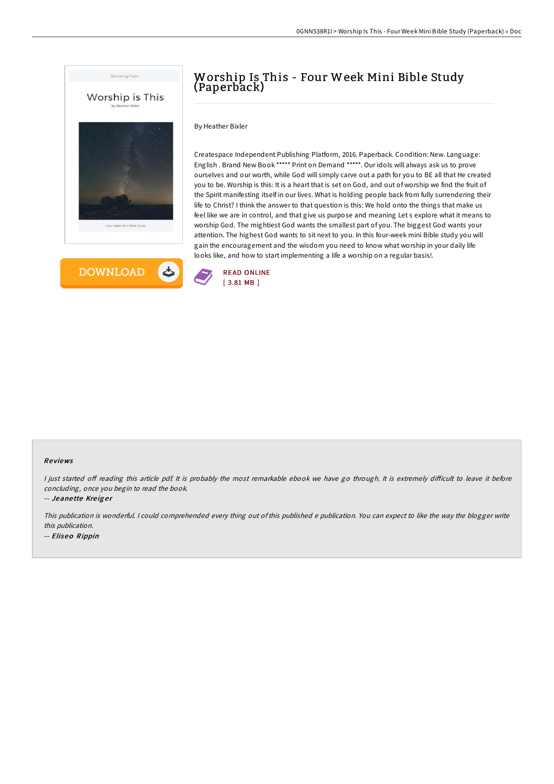



# Worship Is This - Four Week Mini Bible Study (Paperback)

By Heather Bixler

Createspace Independent Publishing Platform, 2016. Paperback. Condition: New. Language: English . Brand New Book \*\*\*\*\* Print on Demand \*\*\*\*\*. Our idols will always ask us to prove ourselves and our worth, while God will simply carve out a path for you to BE all that He created you to be. Worship is this: It is a heart that is set on God, and out of worship we find the fruit of the Spirit manifesting itself in our lives. What is holding people back from fully surrendering their life to Christ? I think the answer to that question is this: We hold onto the things that make us feel like we are in control, and that give us purpose and meaning Let s explore what it means to worship God. The mightiest God wants the smallest part of you. The biggest God wants your attention. The highest God wants to sit next to you. In this four-week mini Bible study you will gain the encouragement and the wisdom you need to know what worship in your daily life looks like, and how to start implementing a life a worship on a regular basis!.



### Re views

I just started off reading this article pdf. It is probably the most remarkable ebook we have go through. It is extremely difficult to leave it before concluding, once you begin to read the book.

-- Jeanette Kreiger

This publication is wonderful. <sup>I</sup> could comprehended every thing out of this published <sup>e</sup> publication. You can expect to like the way the blogger write this publication. -- Eliseo Rippin